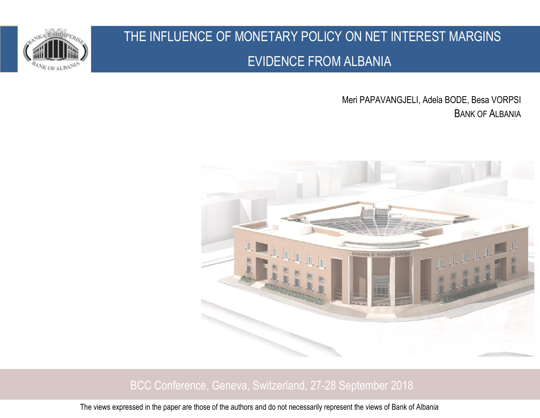

# THE INFLUENCE OF MONETARY POLICY ON NET INTEREST MARGINS EVIDENCE FROM ALBANIA

Meri PAPAVANGJELI, Adela BODE, Besa VORPSI BANK OF ALBANIA



#### **1 1 <b>BCC Conference, Geneva, Switzerland, 27-28 September 2018 Albania BCC Conference, Geneva, Switzerland**, 27-28 September 2018

The views expressed in the paper are those of the authors and do not necessarily represent the views of Bank of Albania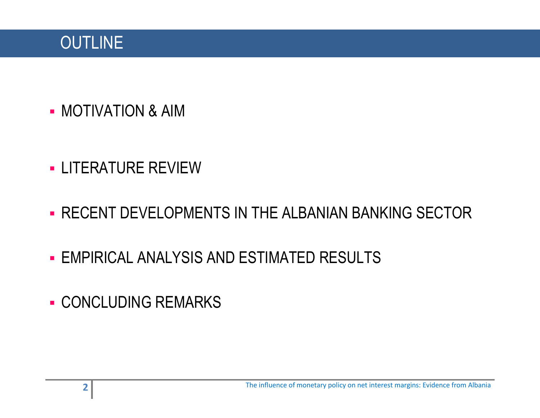# **OUTLINE**

- MOTIVATION & AIM
- LITERATURE REVIEW
- **RECENT DEVELOPMENTS IN THE ALBANIAN BANKING SECTOR**
- **EMPIRICAL ANALYSIS AND ESTIMATED RESULTS**
- **CONCLUDING REMARKS**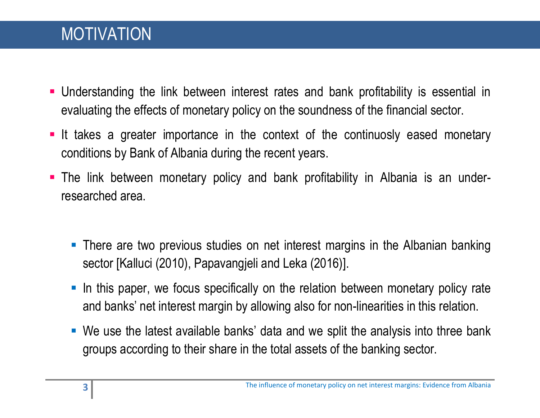- Understanding the link between interest rates and bank profitability is essential in evaluating the effects of monetary policy on the soundness of the financial sector.
- **It takes a greater importance in the context of the continuosly eased monetary** conditions by Bank of Albania during the recent years.
- The link between monetary policy and bank profitability in Albania is an underresearched area.
	- **There are two previous studies on net interest margins in the Albanian banking** sector [Kalluci (2010), Papavangjeli and Leka (2016)].
	- In this paper, we focus specifically on the relation between monetary policy rate and banks' net interest margin by allowing also for non-linearities in this relation.
	- We use the latest available banks' data and we split the analysis into three bank groups according to their share in the total assets of the banking sector.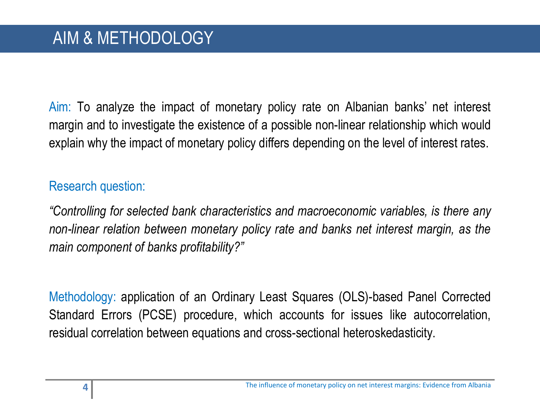Aim: To analyze the impact of monetary policy rate on Albanian banks' net interest margin and to investigate the existence of a possible non-linear relationship which would explain why the impact of monetary policy differs depending on the level of interest rates.

#### Research question:

*"Controlling for selected bank characteristics and macroeconomic variables, is there any non-linear relation between monetary policy rate and banks net interest margin, as the main component of banks profitability?"*

Methodology: application of an Ordinary Least Squares (OLS)-based Panel Corrected Standard Errors (PCSE) procedure, which accounts for issues like autocorrelation, residual correlation between equations and cross-sectional heteroskedasticity.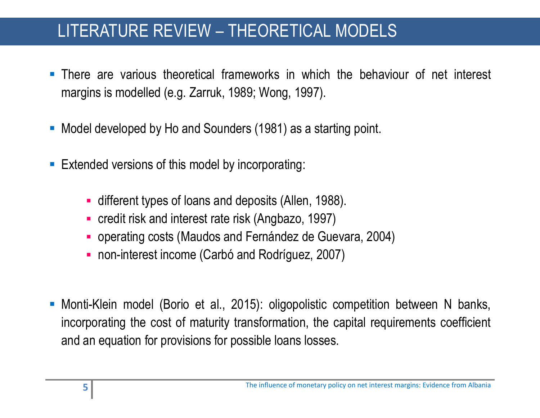# LITERATURE REVIEW – THEORETICAL MODELS

- There are various theoretical frameworks in which the behaviour of net interest margins is modelled (e.g. Zarruk, 1989; Wong, 1997).
- **Model developed by Ho and Sounders (1981) as a starting point.**
- **Extended versions of this model by incorporating:** 
	- different types of loans and deposits (Allen, 1988).
	- credit risk and interest rate risk (Angbazo, 1997)
	- operating costs (Maudos and Fernández de Guevara, 2004)
	- non-interest income (Carbó and Rodríguez, 2007)
- Monti-Klein model (Borio et al., 2015): oligopolistic competition between N banks, incorporating the cost of maturity transformation, the capital requirements coefficient and an equation for provisions for possible loans losses.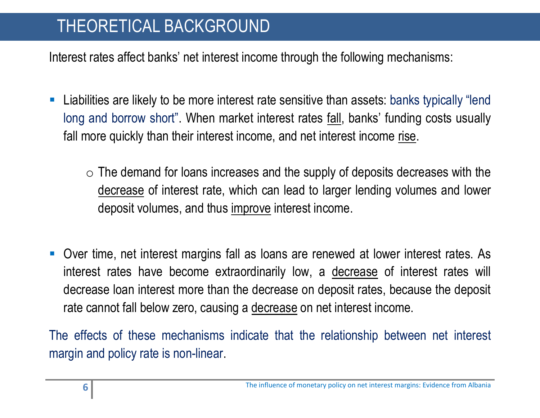# THEORETICAL BACKGROUND

Interest rates affect banks' net interest income through the following mechanisms:

- Liabilities are likely to be more interest rate sensitive than assets: banks typically "lend long and borrow short". When market interest rates <u>fall</u>, banks' funding costs usually fall more quickly than their interest income, and net interest income rise.
	- $\circ$  The demand for loans increases and the supply of deposits decreases with the decrease of interest rate, which can lead to larger lending volumes and lower deposit volumes, and thus improve interest income.
- Over time, net interest margins fall as loans are renewed at lower interest rates. As interest rates have become extraordinarily low, a decrease of interest rates will decrease loan interest more than the decrease on deposit rates, because the deposit rate cannot fall below zero, causing a decrease on net interest income.

The effects of these mechanisms indicate that the relationship between net interest margin and policy rate is non-linear.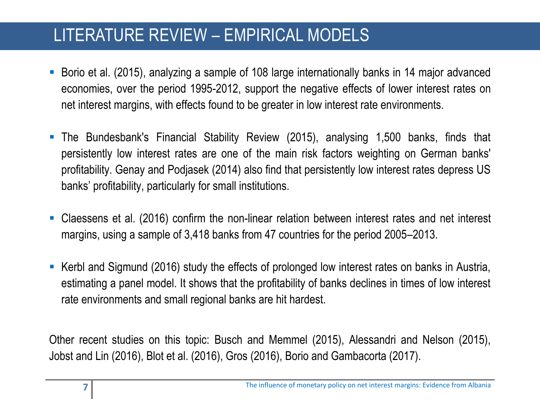# LITERATURE REVIEW – EMPIRICAL MODELS

- Borio et al. (2015), analyzing a sample of 108 large internationally banks in 14 major advanced economies, over the period 1995-2012, support the negative effects of lower interest rates on net interest margins, with effects found to be greater in low interest rate environments.
- The Bundesbank's Financial Stability Review (2015), analysing 1,500 banks, finds that persistently low interest rates are one of the main risk factors weighting on German banks' profitability. Genay and Podjasek (2014) also find that persistently low interest rates depress US banks' profitability, particularly for small institutions.
- Claessens et al. (2016) confirm the non-linear relation between interest rates and net interest margins, using a sample of 3,418 banks from 47 countries for the period 2005–2013.
- Kerbl and Sigmund (2016) study the effects of prolonged low interest rates on banks in Austria, estimating a panel model. It shows that the profitability of banks declines in times of low interest rate environments and small regional banks are hit hardest.

Other recent studies on this topic: Busch and Memmel (2015), Alessandri and Nelson (2015), Jobst and Lin (2016), Blot et al. (2016), Gros (2016), Borio and Gambacorta (2017).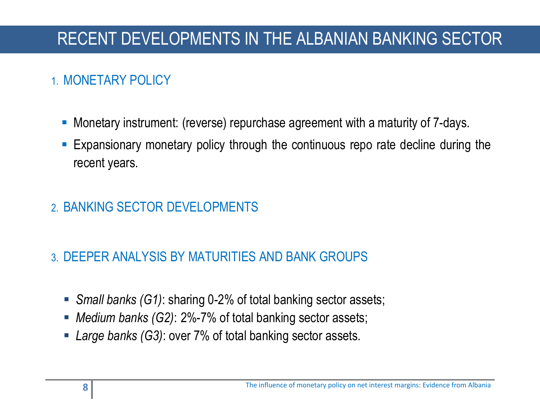#### 1. MONETARY POLICY

in the control of the control of the control of the control of the control of the control of the control of the control of the control of the control of the control of the control of the control of the control of the contr

- Monetary instrument: (reverse) repurchase agreement with a maturity of 7-days.
- Expansionary monetary policy through the continuous repo rate decline during the recent years.
- 2. BANKING SECTOR DEVELOPMENTS
- 3. DEEPER ANALYSIS BY MATURITIES AND BANK GROUPS
	- *Small banks (G1)*: sharing 0-2% of total banking sector assets;
	- *Medium banks (G2)*: 2%-7% of total banking sector assets;
	- *Large banks (G3)*: over 7% of total banking sector assets.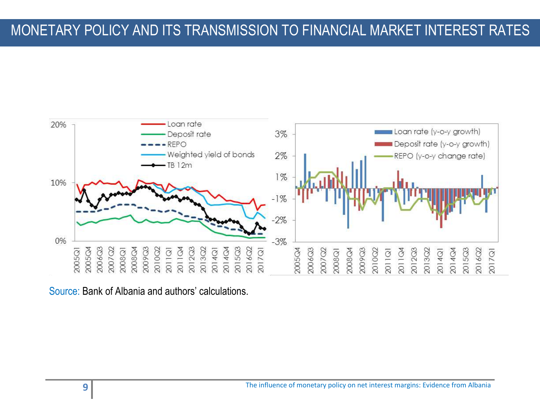#### MONETARY POLICY AND ITS TRANSMISSION TO FINANCIAL MARKET INTEREST RATES

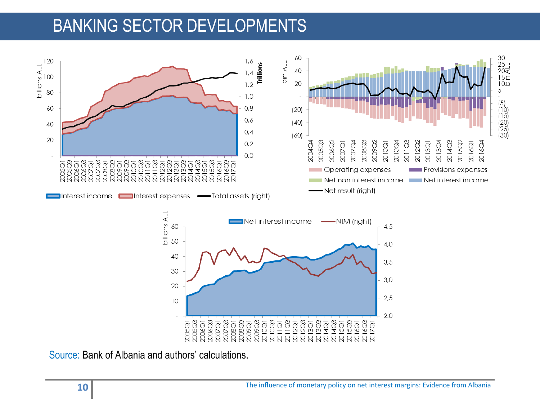# BANKING SECTOR DEVELOPMENTS

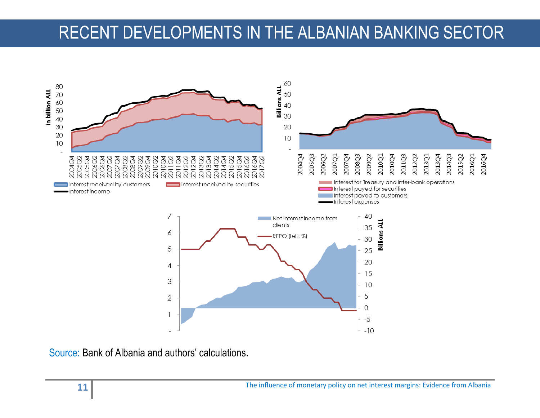# RECENT DEVELOPMENTS IN THE ALBANIAN BANKING SECTOR

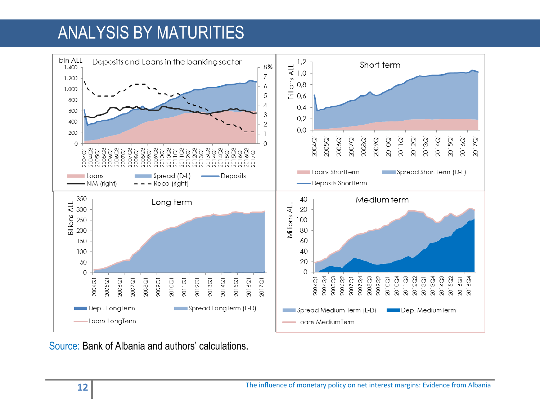# ANALYSIS BY MATURITIES

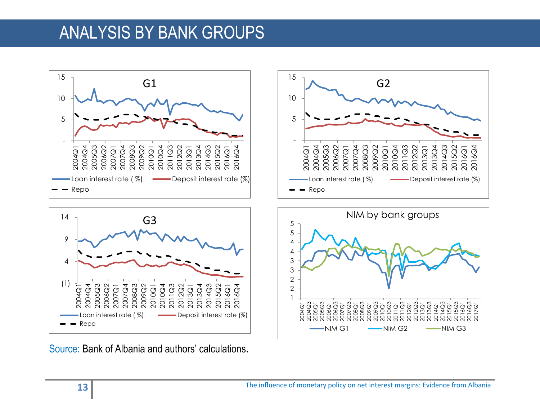## ANALYSIS BY BANK GROUPS







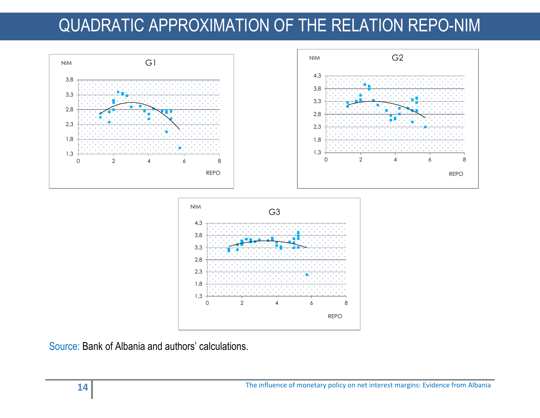# QUADRATIC APPROXIMATION OF THE RELATION REPO-NIM





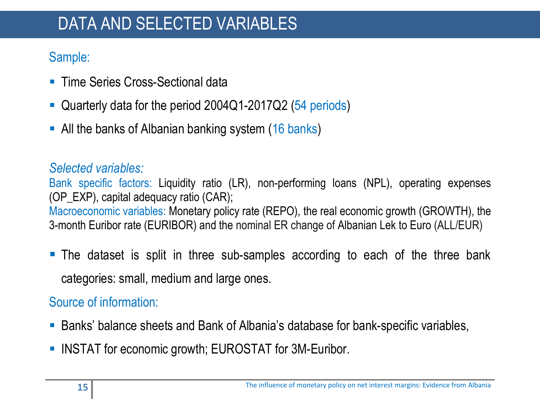# DATA AND SELECTED VARIABLES

#### Sample:

- **Time Series Cross-Sectional data**
- Quarterly data for the period 2004Q1-2017Q2 (54 periods)
- All the banks of Albanian banking system (16 banks)

#### *Selected variables:*

Bank specific factors: Liquidity ratio (LR), non-performing loans (NPL), operating expenses (OP\_EXP), capital adequacy ratio (CAR); Macroeconomic variables: Monetary policy rate (REPO), the real economic growth (GROWTH), the 3-month Euribor rate (EURIBOR) and the nominal ER change of Albanian Lek to Euro (ALL/EUR)

 The dataset is split in three sub-samples according to each of the three bank categories: small, medium and large ones.

#### Source of information:

- Banks' balance sheets and Bank of Albania's database for bank-specific variables,
- **INSTAT for economic growth; EUROSTAT for 3M-Euribor.**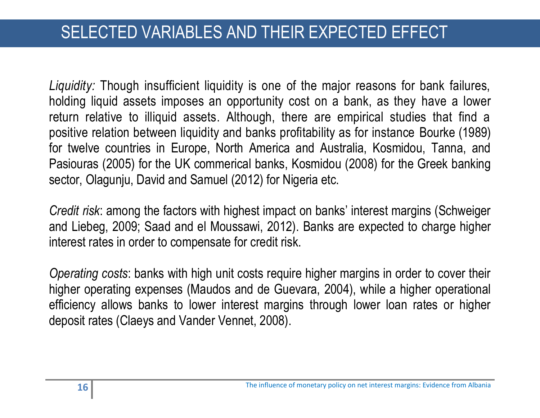# SELECTED VARIABLES AND THEIR EXPECTED EFFECT

*Liquidity:* Though insufficient liquidity is one of the major reasons for bank failures, holding liquid assets imposes an opportunity cost on a bank, as they have a lower return relative to illiquid assets. Although, there are empirical studies that find a positive relation between liquidity and banks profitability as for instance Bourke (1989) for twelve countries in Europe, North America and Australia, Kosmidou, Tanna, and Pasiouras (2005) for the UK commerical banks, Kosmidou (2008) for the Greek banking sector, Olagunju, David and Samuel (2012) for Nigeria etc.

*Credit risk*: among the factors with highest impact on banks' interest margins (Schweiger and Liebeg, 2009; Saad and el Moussawi, 2012). Banks are expected to charge higher interest rates in order to compensate for credit risk.

*Operating costs*: banks with high unit costs require higher margins in order to cover their higher operating expenses (Maudos and de Guevara, 2004), while a higher operational efficiency allows banks to lower interest margins through lower loan rates or higher deposit rates (Claeys and Vander Vennet, 2008).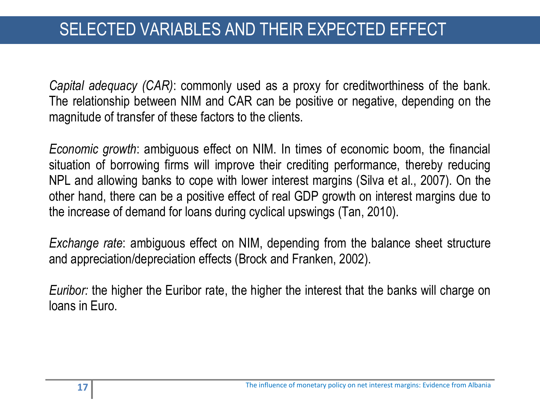*Capital adequacy (CAR)*: commonly used as a proxy for creditworthiness of the bank. The relationship between NIM and CAR can be positive or negative, depending on the magnitude of transfer of these factors to the clients.

*Economic growth*: ambiguous effect on NIM. In times of economic boom, the financial situation of borrowing firms will improve their crediting performance, thereby reducing NPL and allowing banks to cope with lower interest margins (Silva et al., 2007). On the other hand, there can be a positive effect of real GDP growth on interest margins due to the increase of demand for loans during cyclical upswings (Tan, 2010).

*Exchange rate*: ambiguous effect on NIM, depending from the balance sheet structure and appreciation/depreciation effects (Brock and Franken, 2002).

*Euribor:* the higher the Euribor rate, the higher the interest that the banks will charge on loans in Euro.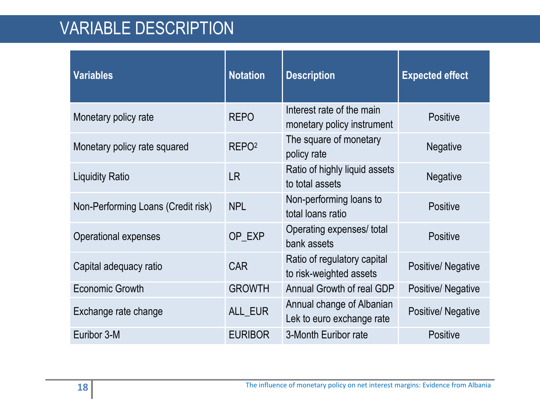# VARIABLE DESCRIPTION

| <b>Variables</b>                   | <b>Notation</b>   | <b>Description</b>                                      | <b>Expected effect</b>   |  |
|------------------------------------|-------------------|---------------------------------------------------------|--------------------------|--|
| Monetary policy rate               | <b>REPO</b>       | Interest rate of the main<br>monetary policy instrument | <b>Positive</b>          |  |
| Monetary policy rate squared       | REPO <sup>2</sup> | The square of monetary<br>policy rate                   | <b>Negative</b>          |  |
| <b>Liquidity Ratio</b>             | <b>LR</b>         | Ratio of highly liquid assets<br>to total assets        | <b>Negative</b>          |  |
| Non-Performing Loans (Credit risk) | <b>NPL</b>        | Non-performing loans to<br>total loans ratio            | <b>Positive</b>          |  |
| <b>Operational expenses</b>        | OP_EXP            | Operating expenses/ total<br>bank assets                | <b>Positive</b>          |  |
| Capital adequacy ratio             | <b>CAR</b>        | Ratio of regulatory capital<br>to risk-weighted assets  | Positive/Negative        |  |
| <b>Economic Growth</b>             | <b>GROWTH</b>     | Annual Growth of real GDP                               | <b>Positive/Negative</b> |  |
| Exchange rate change               | ALL_EUR           | Annual change of Albanian<br>Lek to euro exchange rate  | Positive/Negative        |  |
| Euribor 3-M                        | <b>EURIBOR</b>    | 3-Month Euribor rate                                    | <b>Positive</b>          |  |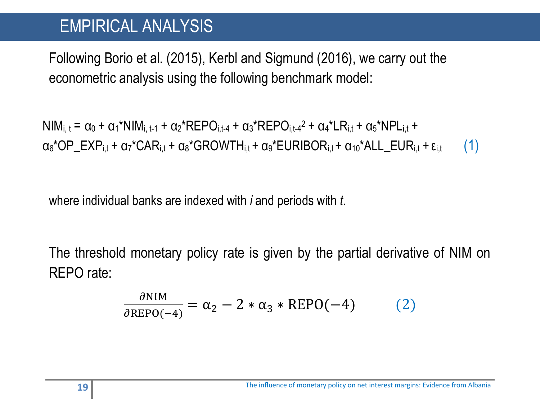### EMPIRICAL ANALYSIS

Following Borio et al. (2015), Kerbl and Sigmund (2016), we carry out the econometric analysis using the following benchmark model:

 $\textsf{NIM}_{i,\,t} = \alpha_0 + {\alpha_1}^{\star} \textsf{NIM}_{i,\,t\text{-}1} + {\alpha_2}^{\star} \textsf{REPO}_{i,t\text{-}4} + {\alpha_3}^{\star} \textsf{REPO}_{i,t\text{-}4}{}^2 + {\alpha_4}^{\star} \textsf{LR}_{i,t} + {\alpha_5}^{\star} \textsf{NPL}_{i,t} + \alpha_6^{\star} \textsf{NPL}_{i,t}$  $\alpha_6$ \*OP\_EXP<sub>i,t</sub> +  $\alpha_7$ \*CAR<sub>i,t</sub> +  $\alpha_8$ \*GROWTH $_{i,t}$ +  $\alpha_9$ \*EURIBOR $_{i,t}$ +  $\alpha_{10}$ \*ALL\_EUR $_{i,t}$ +  $\epsilon_{i,t}$  (1)

where individual banks are indexed with *i* and periods with *t*.

The threshold monetary policy rate is given by the partial derivative of NIM on REPO rate:

$$
\frac{\partial \text{NIM}}{\partial \text{REPO}(-4)} = \alpha_2 - 2 * \alpha_3 * \text{REPO}(-4) \tag{2}
$$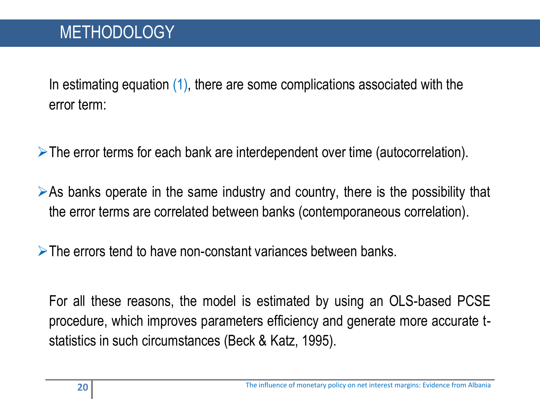# **METHODOLOGY**

In estimating equation (1), there are some complications associated with the error term:

The error terms for each bank are interdependent over time (autocorrelation).

 $\triangleright$  As banks operate in the same industry and country, there is the possibility that the error terms are correlated between banks (contemporaneous correlation).

 $\triangleright$  The errors tend to have non-constant variances between banks.

For all these reasons, the model is estimated by using an OLS-based PCSE procedure, which improves parameters efficiency and generate more accurate tstatistics in such circumstances (Beck & Katz, 1995).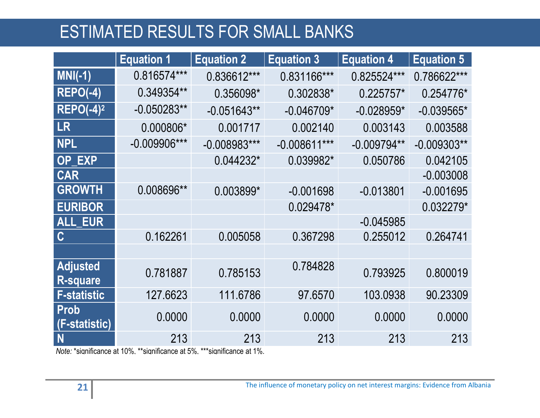# ESTIMATED RESULTS FOR SMALL BANKS

|                                    | <b>Equation 1</b> | <b>Equation 2</b> | <b>Equation 3</b> | <b>Equation 4</b> | <b>Equation 5</b> |
|------------------------------------|-------------------|-------------------|-------------------|-------------------|-------------------|
| $MNI(-1)$                          | 0.816574***       | 0.836612***       | 0.831166***       | 0.825524***       | 0.786622***       |
| <b>REPO(-4)</b>                    | 0.349354**        | 0.356098*         | 0.302838*         | $0.225757*$       | 0.254776*         |
| $REPO(-4)2$                        | $-0.050283**$     | $-0.051643**$     | $-0.046709*$      | $-0.028959*$      | $-0.039565*$      |
| <b>LR</b>                          | 0.000806*         | 0.001717          | 0.002140          | 0.003143          | 0.003588          |
| <b>NPL</b>                         | $-0.009906***$    | $-0.008983***$    | $-0.008611***$    | $-0.009794**$     | $-0.009303**$     |
| <b>OP EXP</b>                      |                   | 0.044232*         | 0.039982*         | 0.050786          | 0.042105          |
| <b>CAR</b>                         |                   |                   |                   |                   | $-0.003008$       |
| <b>GROWTH</b>                      | 0.008696**        | 0.003899*         | $-0.001698$       | $-0.013801$       | $-0.001695$       |
| <b>EURIBOR</b>                     |                   |                   | 0.029478*         |                   | $0.032279*$       |
| <b>ALL EUR</b>                     |                   |                   |                   | $-0.045985$       |                   |
| $\mathbf C$                        | 0.162261          | 0.005058          | 0.367298          | 0.255012          | 0.264741          |
|                                    |                   |                   |                   |                   |                   |
| <b>Adjusted</b><br><b>R-square</b> | 0.781887          | 0.785153          | 0.784828          | 0.793925          | 0.800019          |
| <b>F-statistic</b>                 | 127.6623          | 111.6786          | 97.6570           | 103.0938          | 90.23309          |
| <b>Prob</b><br>(F-statistic)       | 0.0000            | 0.0000            | 0.0000            | 0.0000            | 0.0000            |
| N                                  | 213               | 213               | 213               | 213               | 213               |

*Note:* \*significance at 10%, \*\*significance at 5%, \*\*\*significance at 1%.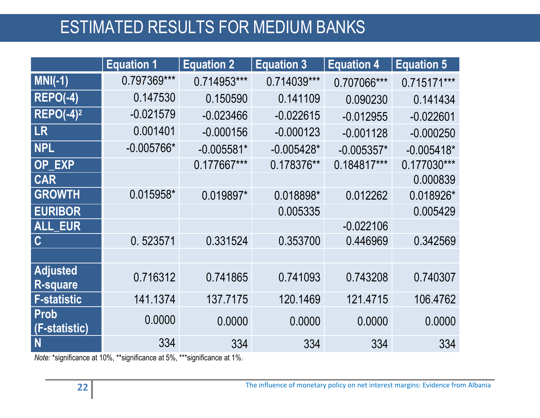# ESTIMATED RESULTS FOR MEDIUM BANKS

|                                    | <b>Equation 1</b> | <b>Equation 2</b> | <b>Equation 3</b> | <b>Equation 4</b> | <b>Equation 5</b> |
|------------------------------------|-------------------|-------------------|-------------------|-------------------|-------------------|
| $MNI(-1)$                          | 0.797369***       | 0.714953***       | 0.714039***       | 0.707066***       | $0.715171***$     |
| <b>REPO(-4)</b>                    | 0.147530          | 0.150590          | 0.141109          | 0.090230          | 0.141434          |
| $REPO(-4)2$                        | $-0.021579$       | $-0.023466$       | $-0.022615$       | $-0.012955$       | $-0.022601$       |
| <b>LR</b>                          | 0.001401          | $-0.000156$       | $-0.000123$       | $-0.001128$       | $-0.000250$       |
| <b>NPL</b>                         | $-0.005766*$      | $-0.005581*$      | $-0.005428*$      | $-0.005357*$      | $-0.005418*$      |
| OP_EXP                             |                   | 0.177667***       | 0.178376**        | 0.184817***       | $0.177030***$     |
| <b>CAR</b>                         |                   |                   |                   |                   | 0.000839          |
| <b>GROWTH</b>                      | 0.015958*         | 0.019897*         | 0.018898*         | 0.012262          | 0.018926*         |
| <b>EURIBOR</b>                     |                   |                   | 0.005335          |                   | 0.005429          |
| <b>ALL_EUR</b>                     |                   |                   |                   | $-0.022106$       |                   |
| $\mathbf C$                        | 0.523571          | 0.331524          | 0.353700          | 0.446969          | 0.342569          |
|                                    |                   |                   |                   |                   |                   |
| <b>Adjusted</b><br><b>R-square</b> | 0.716312          | 0.741865          | 0.741093          | 0.743208          | 0.740307          |
| <b>F-statistic</b>                 | 141.1374          | 137.7175          | 120.1469          | 121.4715          | 106.4762          |
| Prob<br>(F-statistic)              | 0.0000            | 0.0000            | 0.0000            | 0.0000            | 0.0000            |
| N                                  | 334               | 334               | 334               | 334               | 334               |

*Note:* \*significance at 10%, \*\*significance at 5%, \*\*\*significance at 1%.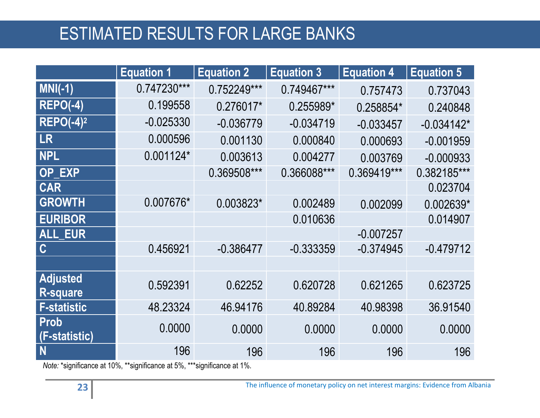# ESTIMATED RESULTS FOR LARGE BANKS

|                                    | <b>Equation 1</b> | <b>Equation 2</b> | <b>Equation 3</b> | <b>Equation 4</b> | <b>Equation 5</b> |
|------------------------------------|-------------------|-------------------|-------------------|-------------------|-------------------|
| $MM(-1)$                           | 0.747230***       | 0.752249***       | 0.749467***       | 0.757473          | 0.737043          |
| <b>REPO(-4)</b>                    | 0.199558          | 0.276017*         | 0.255989*         | 0.258854*         | 0.240848          |
| $REPO(-4)2$                        | $-0.025330$       | $-0.036779$       | $-0.034719$       | $-0.033457$       | $-0.034142*$      |
| <b>LR</b>                          | 0.000596          | 0.001130          | 0.000840          | 0.000693          | $-0.001959$       |
| <b>NPL</b>                         | $0.001124*$       | 0.003613          | 0.004277          | 0.003769          | $-0.000933$       |
| OP_EXP                             |                   | 0.369508***       | 0.366088***       | 0.369419***       | 0.382185***       |
| <b>CAR</b>                         |                   |                   |                   |                   | 0.023704          |
| <b>GROWTH</b>                      | 0.007676*         | 0.003823*         | 0.002489          | 0.002099          | 0.002639*         |
| <b>EURIBOR</b>                     |                   |                   | 0.010636          |                   | 0.014907          |
| ALL_EUR                            |                   |                   |                   | $-0.007257$       |                   |
| $\mathbf C$                        | 0.456921          | $-0.386477$       | $-0.333359$       | $-0.374945$       | $-0.479712$       |
|                                    |                   |                   |                   |                   |                   |
| <b>Adjusted</b><br><b>R-square</b> | 0.592391          | 0.62252           | 0.620728          | 0.621265          | 0.623725          |
| <b>F-statistic</b>                 | 48.23324          | 46.94176          | 40.89284          | 40.98398          | 36.91540          |
| Prob<br>(F-statistic)              | 0.0000            | 0.0000            | 0.0000            | 0.0000            | 0.0000            |
| N                                  | 196               | 196               | 196               | 196               | 196               |

*Note:* \*significance at 10%, \*\*significance at 5%, \*\*\*significance at 1%.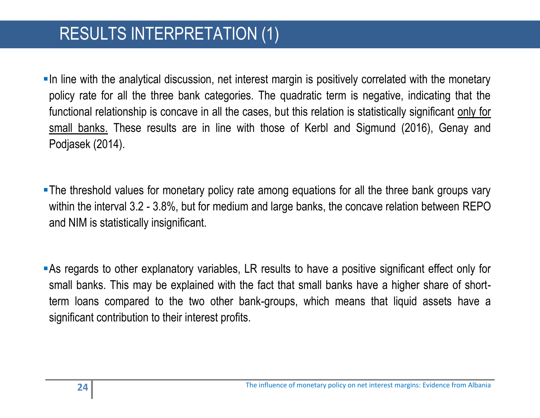# RESULTS INTERPRETATION (1)

In line with the analytical discussion, net interest margin is positively correlated with the monetary policy rate for all the three bank categories. The quadratic term is negative, indicating that the functional relationship is concave in all the cases, but this relation is statistically significant only for small banks. These results are in line with those of Kerbl and Sigmund (2016), Genay and Podjasek (2014).

The threshold values for monetary policy rate among equations for all the three bank groups vary within the interval 3.2 - 3.8%, but for medium and large banks, the concave relation between REPO and NIM is statistically insignificant.

As regards to other explanatory variables, LR results to have a positive significant effect only for small banks. This may be explained with the fact that small banks have a higher share of shortterm loans compared to the two other bank-groups, which means that liquid assets have a significant contribution to their interest profits.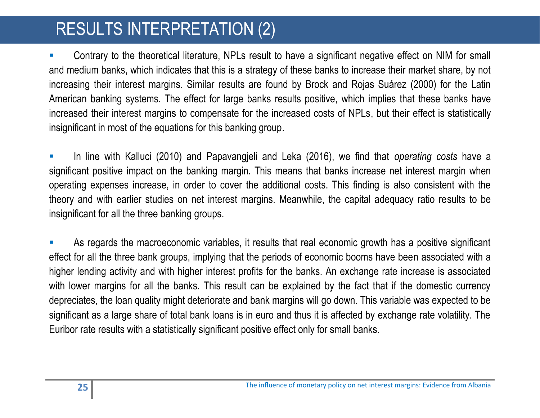# RESULTS INTERPRETATION (2)

 Contrary to the theoretical literature, NPLs result to have a significant negative effect on NIM for small and medium banks, which indicates that this is a strategy of these banks to increase their market share, by not increasing their interest margins. Similar results are found by Brock and Rojas Suárez (2000) for the Latin American banking systems. The effect for large banks results positive, which implies that these banks have increased their interest margins to compensate for the increased costs of NPLs, but their effect is statistically insignificant in most of the equations for this banking group.

 In line with Kalluci (2010) and Papavangjeli and Leka (2016), we find that *operating costs* have a significant positive impact on the banking margin. This means that banks increase net interest margin when operating expenses increase, in order to cover the additional costs. This finding is also consistent with the theory and with earlier studies on net interest margins. Meanwhile, the capital adequacy ratio results to be insignificant for all the three banking groups.

 As regards the macroeconomic variables, it results that real economic growth has a positive significant effect for all the three bank groups, implying that the periods of economic booms have been associated with a higher lending activity and with higher interest profits for the banks. An exchange rate increase is associated with lower margins for all the banks. This result can be explained by the fact that if the domestic currency depreciates, the loan quality might deteriorate and bank margins will go down. This variable was expected to be significant as a large share of total bank loans is in euro and thus it is affected by exchange rate volatility. The Euribor rate results with a statistically significant positive effect only for small banks.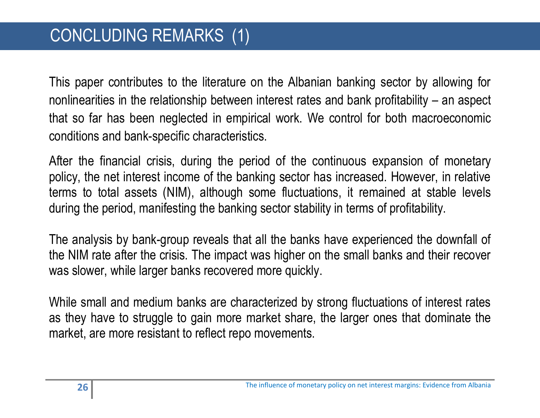This paper contributes to the literature on the Albanian banking sector by allowing for nonlinearities in the relationship between interest rates and bank profitability – an aspect that so far has been neglected in empirical work. We control for both macroeconomic conditions and bank-specific characteristics.

After the financial crisis, during the period of the continuous expansion of monetary policy, the net interest income of the banking sector has increased. However, in relative terms to total assets (NIM), although some fluctuations, it remained at stable levels during the period, manifesting the banking sector stability in terms of profitability.

The analysis by bank-group reveals that all the banks have experienced the downfall of the NIM rate after the crisis. The impact was higher on the small banks and their recover was slower, while larger banks recovered more quickly.

While small and medium banks are characterized by strong fluctuations of interest rates as they have to struggle to gain more market share, the larger ones that dominate the market, are more resistant to reflect repo movements.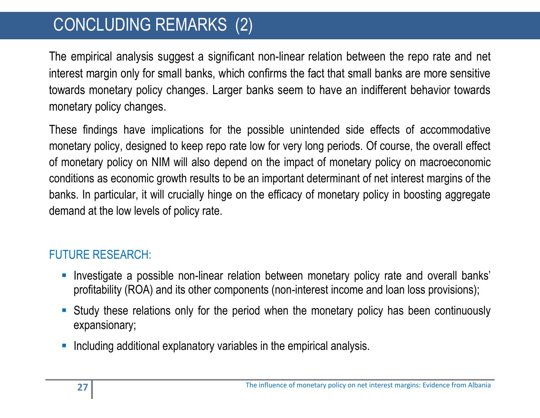# CONCLUDING REMARKS (2)

The empirical analysis suggest a significant non-linear relation between the repo rate and net interest margin only for small banks, which confirms the fact that small banks are more sensitive towards monetary policy changes. Larger banks seem to have an indifferent behavior towards monetary policy changes.

These findings have implications for the possible unintended side effects of accommodative monetary policy, designed to keep repo rate low for very long periods. Of course, the overall effect of monetary policy on NIM will also depend on the impact of monetary policy on macroeconomic conditions as economic growth results to be an important determinant of net interest margins of the banks. In particular, it will crucially hinge on the efficacy of monetary policy in boosting aggregate demand at the low levels of policy rate.

#### FUTURE RESEARCH:

- **Investigate a possible non-linear relation between monetary policy rate and overall banks'** profitability (ROA) and its other components (non-interest income and loan loss provisions);
- Study these relations only for the period when the monetary policy has been continuously expansionary;
- Including additional explanatory variables in the empirical analysis.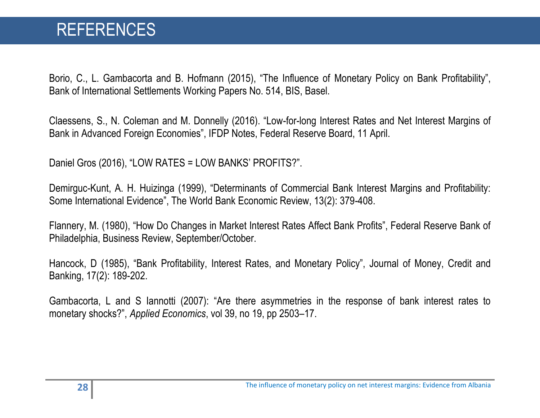Borio, C., L. Gambacorta and B. Hofmann (2015), "The Influence of Monetary Policy on Bank Profitability", Bank of International Settlements Working Papers No. 514, BIS, Basel.

Claessens, S., N. Coleman and M. Donnelly (2016). "Low-for-long Interest Rates and Net Interest Margins of Bank in Advanced Foreign Economies", IFDP Notes, Federal Reserve Board, 11 April.

Daniel Gros (2016), "LOW RATES = LOW BANKS' PROFITS?".

Demirguc-Kunt, A. H. Huizinga (1999), "Determinants of Commercial Bank Interest Margins and Profitability: Some International Evidence", The World Bank Economic Review, 13(2): 379-408.

Flannery, M. (1980), "How Do Changes in Market Interest Rates Affect Bank Profits", Federal Reserve Bank of Philadelphia, Business Review, September/October.

Hancock, D (1985), "Bank Profitability, Interest Rates, and Monetary Policy", Journal of Money, Credit and Banking, 17(2): 189-202.

Gambacorta, L and S Iannotti (2007): "Are there asymmetries in the response of bank interest rates to monetary shocks?", *Applied Economics*, vol 39, no 19, pp 2503–17.